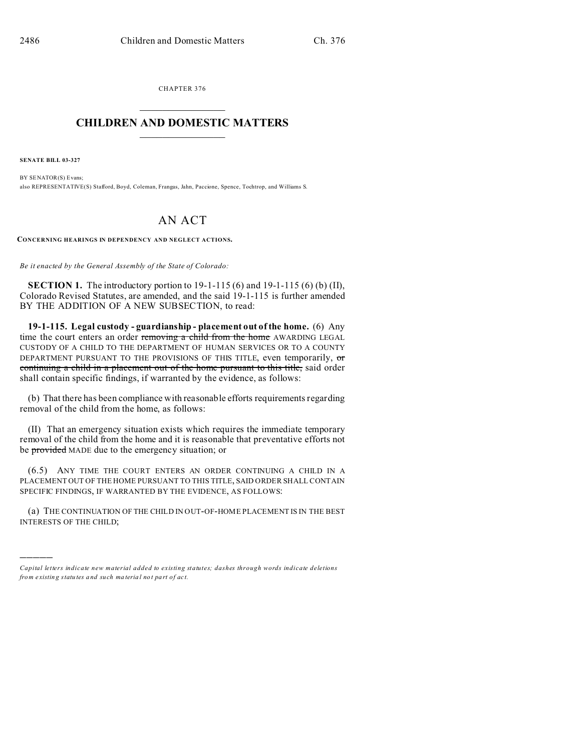CHAPTER 376  $\overline{\phantom{a}}$  , where  $\overline{\phantom{a}}$ 

## **CHILDREN AND DOMESTIC MATTERS**  $\_$   $\_$

**SENATE BILL 03-327**

)))))

BY SENATOR(S) Evans: also REPRESENTATIVE(S) Stafford, Boyd, Coleman, Frangas, Jahn, Paccione, Spence, Tochtrop, and Williams S.

## AN ACT

**CONCERNING HEARINGS IN DEPENDENCY AND NEGLECT ACTIONS.**

*Be it enacted by the General Assembly of the State of Colorado:*

**SECTION 1.** The introductory portion to  $19-1-115(6)$  and  $19-1-115(6)$  (b) (II), Colorado Revised Statutes, are amended, and the said 19-1-115 is further amended BY THE ADDITION OF A NEW SUBSECTION, to read:

**19-1-115. Legal custody - guardianship - placement out of the home.** (6) Any time the court enters an order removing a child from the home AWARDING LEGAL CUSTODY OF A CHILD TO THE DEPARTMENT OF HUMAN SERVICES OR TO A COUNTY DEPARTMENT PURSUANT TO THE PROVISIONS OF THIS TITLE, even temporarily, or continuing a child in a placement out of the home pursuant to this title, said order shall contain specific findings, if warranted by the evidence, as follows:

(b) That there has been compliance with reasonable efforts requirements regarding removal of the child from the home, as follows:

(II) That an emergency situation exists which requires the immediate temporary removal of the child from the home and it is reasonable that preventative efforts not be provided MADE due to the emergency situation; or

(6.5) ANY TIME THE COURT ENTERS AN ORDER CONTINUING A CHILD IN A PLACEMENT OUT OF THE HOME PURSUANT TO THIS TITLE, SAID ORDER SHALL CONTAIN SPECIFIC FINDINGS, IF WARRANTED BY THE EVIDENCE, AS FOLLOWS:

(a) THE CONTINUATION OF THE CHILD IN OUT-OF-HOME PLACEMENT IS IN THE BEST INTERESTS OF THE CHILD;

*Capital letters indicate new material added to existing statutes; dashes through words indicate deletions from e xistin g statu tes a nd such ma teria l no t pa rt of ac t.*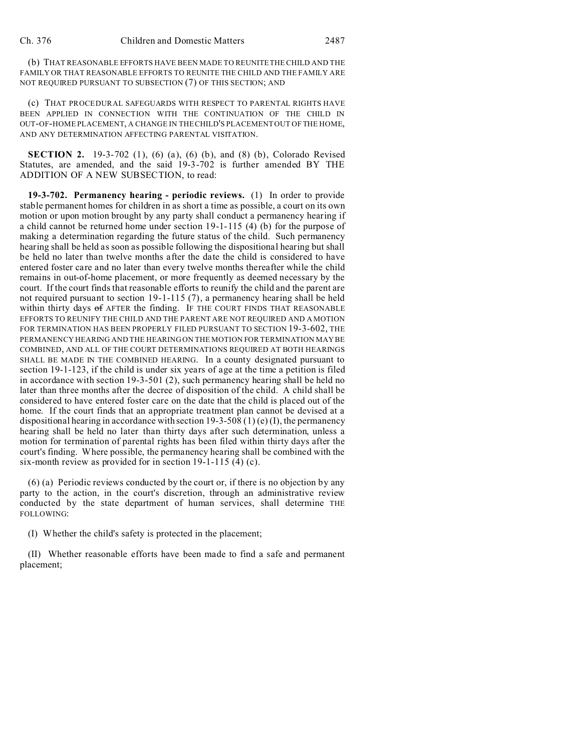(b) THAT REASONABLE EFFORTS HAVE BEEN MADE TO REUNITE THE CHILD AND THE FAMILY OR THAT REASONABLE EFFORTS TO REUNITE THE CHILD AND THE FAMILY ARE NOT REQUIRED PURSUANT TO SUBSECTION (7) OF THIS SECTION; AND

(c) THAT PROCEDURAL SAFEGUARDS WITH RESPECT TO PARENTAL RIGHTS HAVE BEEN APPLIED IN CONNECTION WITH THE CONTINUATION OF THE CHILD IN OUT-OF-HOME PLACEMENT, A CHANGE IN THE CHILD'S PLACEMENT OUT OF THE HOME, AND ANY DETERMINATION AFFECTING PARENTAL VISITATION.

**SECTION 2.** 19-3-702 (1), (6) (a), (6) (b), and (8) (b), Colorado Revised Statutes, are amended, and the said 19-3-702 is further amended BY THE ADDITION OF A NEW SUBSECTION, to read:

**19-3-702. Permanency hearing - periodic reviews.** (1) In order to provide stable permanent homes for children in as short a time as possible, a court on its own motion or upon motion brought by any party shall conduct a permanency hearing if a child cannot be returned home under section  $19-1-115$  (4) (b) for the purpose of making a determination regarding the future status of the child. Such permanency hearing shall be held as soon as possible following the dispositional hearing but shall be held no later than twelve months after the date the child is considered to have entered foster care and no later than every twelve months thereafter while the child remains in out-of-home placement, or more frequently as deemed necessary by the court. If the court finds that reasonable efforts to reunify the child and the parent are not required pursuant to section 19-1-115 (7), a permanency hearing shall be held within thirty days of AFTER the finding. IF THE COURT FINDS THAT REASONABLE EFFORTS TO REUNIFY THE CHILD AND THE PARENT ARE NOT REQUIRED AND A MOTION FOR TERMINATION HAS BEEN PROPERLY FILED PURSUANT TO SECTION 19-3-602, THE PERMANENCY HEARING AND THE HEARING ON THE MOTION FOR TERMINATION MAY BE COMBINED, AND ALL OF THE COURT DETERMINATIONS REQUIRED AT BOTH HEARINGS SHALL BE MADE IN THE COMBINED HEARING. In a county designated pursuant to section 19-1-123, if the child is under six years of age at the time a petition is filed in accordance with section 19-3-501 (2), such permanency hearing shall be held no later than three months after the decree of disposition of the child. A child shall be considered to have entered foster care on the date that the child is placed out of the home. If the court finds that an appropriate treatment plan cannot be devised at a dispositional hearing in accordance with section 19-3-508 (1) (e) (I), the permanency hearing shall be held no later than thirty days after such determination, unless a motion for termination of parental rights has been filed within thirty days after the court's finding. Where possible, the permanency hearing shall be combined with the six-month review as provided for in section 19-1-115 (4) (c).

(6) (a) Periodic reviews conducted by the court or, if there is no objection by any party to the action, in the court's discretion, through an administrative review conducted by the state department of human services, shall determine THE FOLLOWING:

(I) Whether the child's safety is protected in the placement;

(II) Whether reasonable efforts have been made to find a safe and permanent placement;